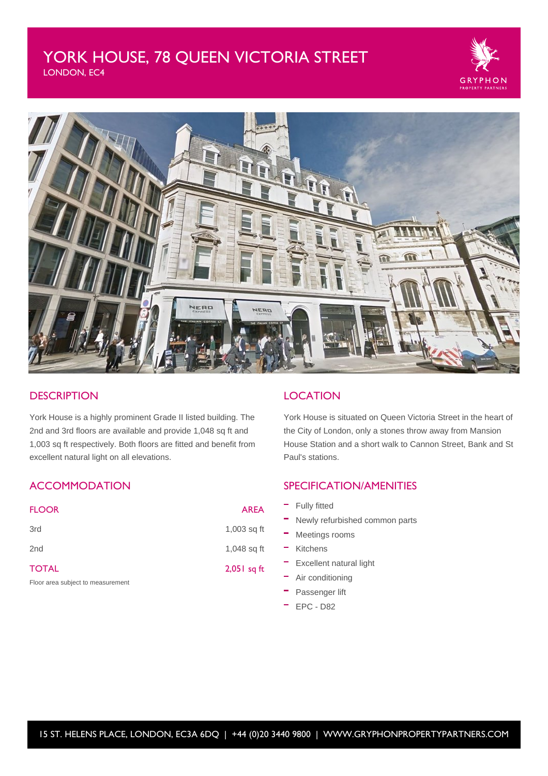# YORK HOUSE, 78 QUEEN VICTORIA STREET

LONDON, EC4





## **DESCRIPTION**

York House is a highly prominent Grade II listed building. The 2nd and 3rd floors are available and provide 1,048 sq ft and 1,003 sq ft respectively. Both floors are fitted and benefit from excellent natural light on all elevations.

# **ACCOMMODATION**

| <b>FLOOR</b>                      | <b>AREA</b>   |
|-----------------------------------|---------------|
| 3rd                               | $1,003$ sq ft |
| 2 <sub>nd</sub>                   | 1,048 sq ft   |
| <b>TOTAL</b>                      | $2,051$ sq ft |
| Floor area subject to measurement |               |

# **LOCATION**

York House is situated on Queen Victoria Street in the heart of the City of London, only a stones throw away from Mansion House Station and a short walk to Cannon Street, Bank and St Paul's stations.

# SPECIFICATION/AMENITIES

- Fully fitted
- Newly refurbished common parts
- $-$  Meetings rooms
- Kitchens
- Excellent natural light
- Air conditioning
- **Passenger lift**
- EPC D82